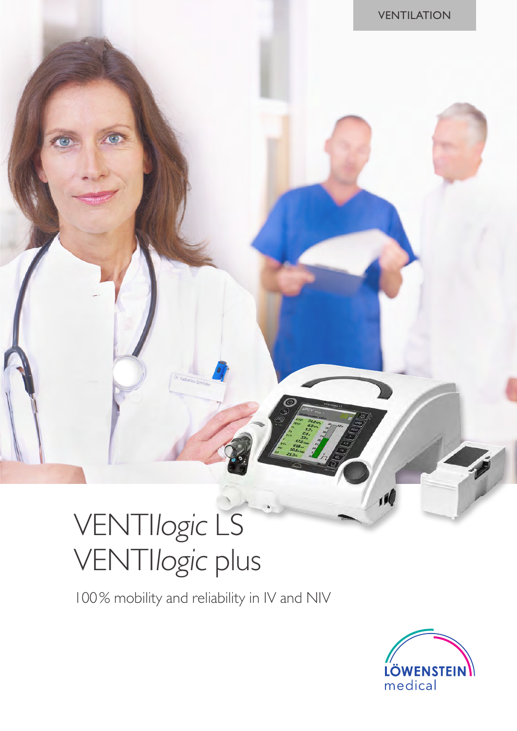# VENTIlogic LS VENTIlogic plus

100% mobility and reliability in IV and NIV



 $\overline{10}$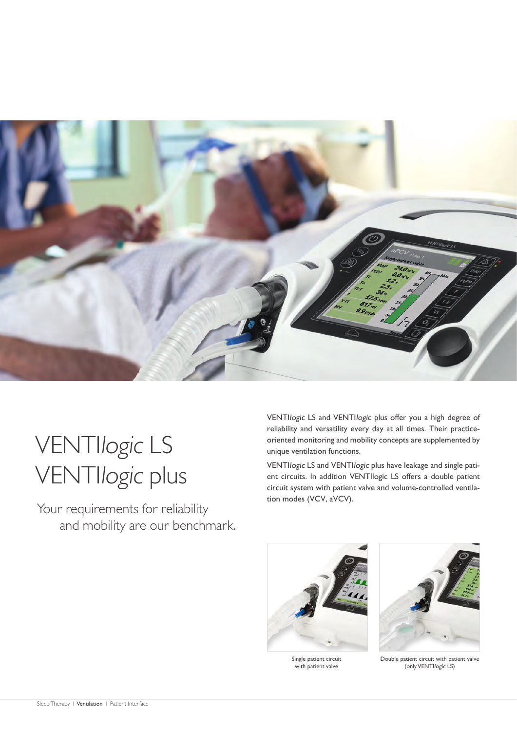

## VENTIlogic LS VENTIlogic plus

Your requirements for reliability and mobility are our benchmark. VENTIlogic LS and VENTIlogic plus offer you a high degree of reliability and versatility every day at all times. Their practiceoriented monitoring and mobility concepts are supplemented by unique ventilation functions.

VENTIlogic LS and VENTIlogic plus have leakage and single patient circuits. In addition VENTIlogic LS offers a double patient circuit system with patient valve and volume-controlled ventilation modes (VCV, aVCV).



Single patient circuit with patient valve



Double patient circuit with patient valve (only VENTIlogic LS)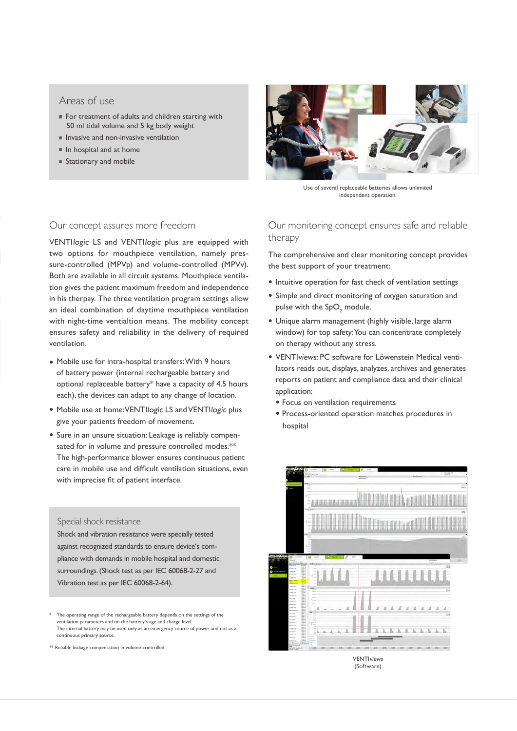#### Areas of use

- For treatment of adults and children starting with 50 ml tidal volume and 5 kg body weight
- Invasive and non-invasive ventilation
- $\blacksquare$  In hospital and at home
- Stationary and mobile



VENTIlogic LS and VENTIlogic plus are equipped with two options for mouthpiece ventilation, namely pressure-controlled (MPVp) and volume-controlled (MPVv). Both are available in all circuit systems. Mouthpiece ventilation gives the patient maximum freedom and independence in his therpay. The three ventilation program settings allow an ideal combination of daytime mouthpiece ventilation with night-time ventialtion means. The mobility concept ensures safety and reliability in the delivery of required ventilation.

- Mobile use for intra-hospital transfers: With 9 hours of battery power (internal rechargeable battery and optional replaceable battery\* have a capacity of 4.5 hours each), the devices can adapt to any change of location.
- Mobile use at home: VENTIlogic LS and VENTIlogic plus give your patients freedom of movement.
- Sure in an unsure situation: Leakage is reliably compensated for in volume and pressure controlled modes.\*\* The high-performance blower ensures continuous patient care in mobile use and difficult ventilation situations, even with imprecise fit of patient interface.

#### Special shock resistance

Shock and vibration resistance were specially tested against recognized standards to ensure device's compliance with demands in mobile hospital and domestic surroundings. (Shock test as per IEC 60068-2-27 and Vibration test as per IEC 60068-2-64).

The operating range of the rechargeable battery depends on the settings of the ventilation parameters and on the battery's age and charge level. The internal battery may be used only as an emergency source of power and not as a continuous primary source.

\*\* Reliable leakage compensation in volume-controlled



Use of several replaceable batteries allows unlimited independent operation.

Our monitoring concept ensures safe and reliable therapy

The comprehensive and clear monitoring concept provides the best support of your treatment:

- Intuitive operation for fast check of ventilation settings
- Simple and direct monitoring of oxygen saturation and pulse with the  $SpO<sub>2</sub>$  module.
- Unique alarm management (highly visible, large alarm window) for top safety: You can concentrate completely on therapy without any stress.
- VENTIviews: PC software for Löwenstein Medical ventilators reads out, displays, analyzes, archives and generates reports on patient and compliance data and their clinical application:
	- Focus on ventilation requirements
	- Process-oriented operation matches procedures in hospital



(Software)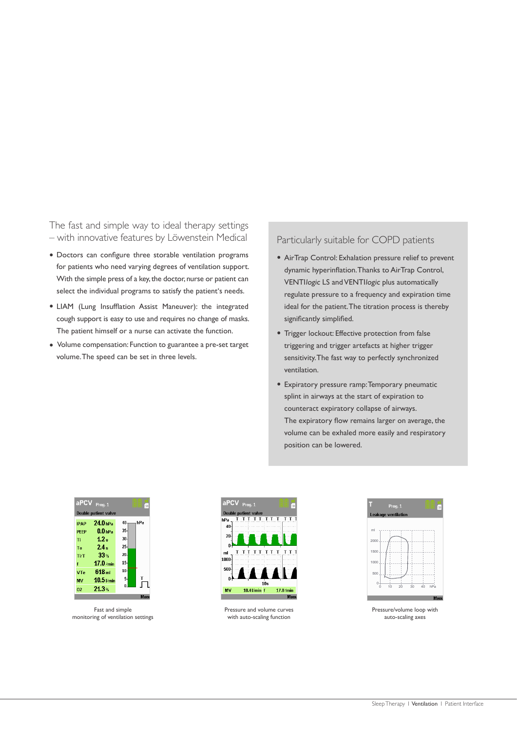The fast and simple way to ideal therapy settings – with innovative features by Löwenstein Medical

- Doctors can configure three storable ventilation programs for patients who need varying degrees of ventilation support. With the simple press of a key, the doctor, nurse or patient can select the individual programs to satisfy the patient's needs.
- LIAM (Lung Insufflation Assist Maneuver): the integrated cough support is easy to use and requires no change of masks. The patient himself or a nurse can activate the function.
- Volume compensation: Function to guarantee a pre-set target volume. The speed can be set in three levels.

Particularly suitable for COPD patients

- AirTrap Control: Exhalation pressure relief to prevent dynamic hyperinflation. Thanks to AirTrap Control, VENTIlogic LS and VENTIlogic plus automatically regulate pressure to a frequency and expiration time ideal for the patient. The titration process is thereby significantly simplified.
- Trigger lockout: Effective protection from false triggering and trigger artefacts at higher trigger sensitivity. The fast way to perfectly synchronized ventilation.
- Expiratory pressure ramp: Temporary pneumatic splint in airways at the start of expiration to counteract expiratory collapse of airways. The expiratory flow remains larger on average, the volume can be exhaled more easily and respiratory position can be lowered.

| aPCV                 | Prog. 1             | B<br>SD   |  |  |
|----------------------|---------------------|-----------|--|--|
| Double patient valve |                     |           |  |  |
| <b>IPAP</b>          | 24.0 <sub>HP2</sub> | hPa<br>40 |  |  |
| <b>PFFP</b>          | $0.0$ bPa           | $35 -$    |  |  |
| Ti                   | 1.2 <sub>s</sub>    | 30        |  |  |
| Te:                  | $24-$               | $25 -$    |  |  |
| <b>Ti/T</b>          | 33 %                | $20 -$    |  |  |
|                      | $17.0$ /min         | $15 -$    |  |  |
| VTe                  | 618m                | 10        |  |  |
| MV                   | $10.5$ $V$ min      | 5.<br>т   |  |  |
| 02                   | 21.3%               |           |  |  |
|                      |                     | Menu      |  |  |

Fast and simple monitoring of ventilation settings



Pressure and volume curves with auto-scaling function



Pressure/volume loop with auto-scaling axes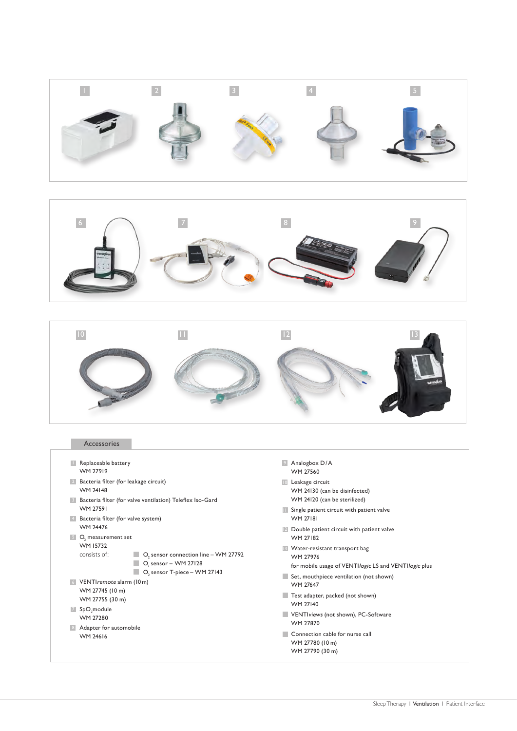





#### Accessories

- **1** Replaceable battery WM 27919
- 2 Bacteria filter (for leakage circuit)
- WM 24148
- **B** Bacteria filter (for valve ventilation) Teleflex Iso-Gard WM 27591
- 4 Bacteria filter (for valve system) WM 24476
- $5$  O<sub>2</sub> measurement set WM 15732
	- $\Box$  O<sub>2</sub> sensor connection line WM 27792
	- $\Box$  O<sub>2</sub> sensor WM 27128  $\blacksquare$  O<sub>2</sub> sensor T-piece – WM 27143
- 6 VENTIremote alarm (10 m) WM 27745 (10 m) WM 27755 (30 m)
- $7$  SpO<sub>2</sub> module WM 27280

consists of:

8 Adapter for automobile WM 24616

- 9 Analogbox D/A WM 27560
- 10 Leakage circuit
- WM 24130 (can be disinfected) WM 24120 (can be sterilized)
- **11** Single patient circuit with patient valve WM 27181
- **12** Double patient circuit with patient valve WM 27182
- 13 Water-resistant transport bag WM 27976
	- for mobile usage of VENTIlogic LS and VENTIlogic plus
- Set, mouthpiece ventilation (not shown) WM 27647
- Test adapter, packed (not shown) WM 27140
- VENTIviews (not shown), PC-Software WM 27870
- Connection cable for nurse call WM 27780 (10 m) WM 27790 (30 m)